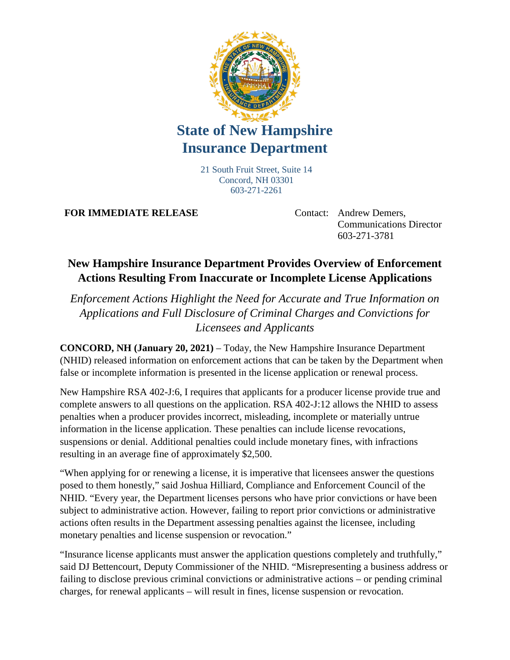

## **State of New Hampshire Insurance Department**

21 South Fruit Street, Suite 14 Concord, NH 03301 603-271-2261

**FOR IMMEDIATE RELEASE** Contact: Andrew Demers,

Communications Director 603-271-3781

## **New Hampshire Insurance Department Provides Overview of Enforcement Actions Resulting From Inaccurate or Incomplete License Applications**

*Enforcement Actions Highlight the Need for Accurate and True Information on Applications and Full Disclosure of Criminal Charges and Convictions for Licensees and Applicants*

**CONCORD, NH (January 20, 2021)** – Today, the New Hampshire Insurance Department (NHID) released information on enforcement actions that can be taken by the Department when false or incomplete information is presented in the license application or renewal process.

New Hampshire RSA 402-J:6, I requires that applicants for a producer license provide true and complete answers to all questions on the application. RSA 402-J:12 allows the NHID to assess penalties when a producer provides incorrect, misleading, incomplete or materially untrue information in the license application. These penalties can include license revocations, suspensions or denial. Additional penalties could include monetary fines, with infractions resulting in an average fine of approximately \$2,500.

"When applying for or renewing a license, it is imperative that licensees answer the questions posed to them honestly," said Joshua Hilliard, Compliance and Enforcement Council of the NHID. "Every year, the Department licenses persons who have prior convictions or have been subject to administrative action. However, failing to report prior convictions or administrative actions often results in the Department assessing penalties against the licensee, including monetary penalties and license suspension or revocation."

"Insurance license applicants must answer the application questions completely and truthfully," said DJ Bettencourt, Deputy Commissioner of the NHID. "Misrepresenting a business address or failing to disclose previous criminal convictions or administrative actions – or pending criminal charges, for renewal applicants – will result in fines, license suspension or revocation.